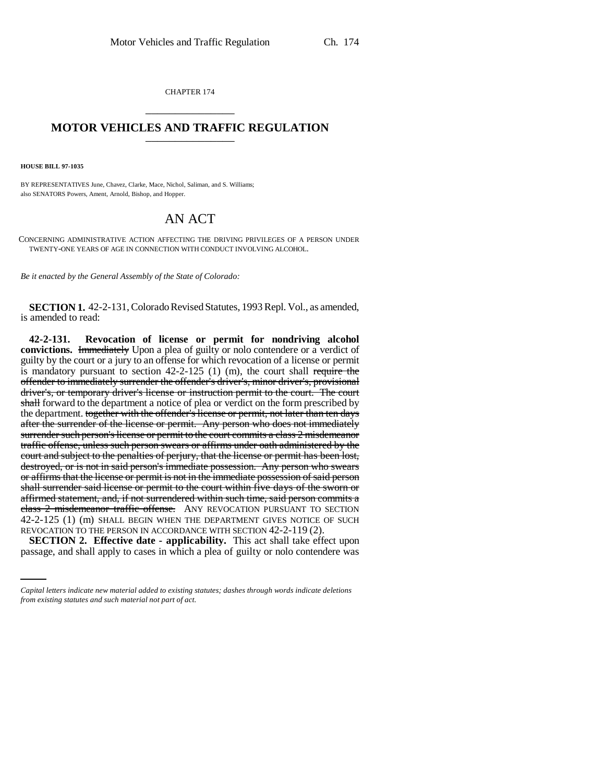CHAPTER 174 \_\_\_\_\_\_\_\_\_\_\_\_\_\_\_

## **MOTOR VEHICLES AND TRAFFIC REGULATION** \_\_\_\_\_\_\_\_\_\_\_\_\_\_\_

**HOUSE BILL 97-1035**

BY REPRESENTATIVES June, Chavez, Clarke, Mace, Nichol, Saliman, and S. Williams; also SENATORS Powers, Ament, Arnold, Bishop, and Hopper.

## AN ACT

CONCERNING ADMINISTRATIVE ACTION AFFECTING THE DRIVING PRIVILEGES OF A PERSON UNDER TWENTY-ONE YEARS OF AGE IN CONNECTION WITH CONDUCT INVOLVING ALCOHOL.

*Be it enacted by the General Assembly of the State of Colorado:*

**SECTION 1.** 42-2-131, Colorado Revised Statutes, 1993 Repl. Vol., as amended, is amended to read:

REVOCATION TO THE PERSON IN ACCORDANCE WITH SECTION 42-2-119 (2). **42-2-131. Revocation of license or permit for nondriving alcohol convictions.** Immediately Upon a plea of guilty or nolo contendere or a verdict of guilty by the court or a jury to an offense for which revocation of a license or permit is mandatory pursuant to section  $42-2-125$  (1) (m), the court shall require the offender to immediately surrender the offender's driver's, minor driver's, provisional driver's, or temporary driver's license or instruction permit to the court. The court shall forward to the department a notice of plea or verdict on the form prescribed by the department. together with the offender's license or permit, not later than ten days after the surrender of the license or permit. Any person who does not immediately surrender such person's license or permit to the court commits a class 2 misdemeanor traffic offense, unless such person swears or affirms under oath administered by the court and subject to the penalties of perjury, that the license or permit has been lost, destroyed, or is not in said person's immediate possession. Any person who swears or affirms that the license or permit is not in the immediate possession of said person shall surrender said license or permit to the court within five days of the sworn or affirmed statement, and, if not surrendered within such time, said person commits a class 2 misdemeanor traffic offense. ANY REVOCATION PURSUANT TO SECTION 42-2-125 (1) (m) SHALL BEGIN WHEN THE DEPARTMENT GIVES NOTICE OF SUCH

**SECTION 2. Effective date - applicability.** This act shall take effect upon passage, and shall apply to cases in which a plea of guilty or nolo contendere was

*Capital letters indicate new material added to existing statutes; dashes through words indicate deletions from existing statutes and such material not part of act.*